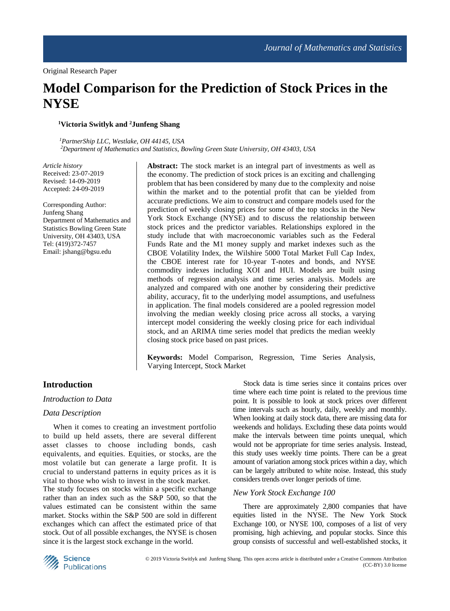# **Model Comparison for the Prediction of Stock Prices in the NYSE**

# **<sup>1</sup>Victoria Switlyk and <sup>2</sup>Junfeng Shang**

*<sup>1</sup>PartnerShip LLC, Westlake, OH 44145, USA <sup>2</sup>Department of Mathematics and Statistics, Bowling Green State University, OH 43403, USA*

*Article history* Received: 23-07-2019 Revised: 14-09-2019 Accepted: 24-09-2019

Corresponding Author: Junfeng Shang Department of Mathematics and Statistics Bowling Green State University, OH 43403, USA Tel: (419)372-7457 Email: jshang@bgsu.edu

**Abstract:** The stock market is an integral part of investments as well as the economy. The prediction of stock prices is an exciting and challenging problem that has been considered by many due to the complexity and noise within the market and to the potential profit that can be yielded from accurate predictions. We aim to construct and compare models used for the prediction of weekly closing prices for some of the top stocks in the New York Stock Exchange (NYSE) and to discuss the relationship between stock prices and the predictor variables. Relationships explored in the study include that with macroeconomic variables such as the Federal Funds Rate and the M1 money supply and market indexes such as the CBOE Volatility Index, the Wilshire 5000 Total Market Full Cap Index, the CBOE interest rate for 10-year T-notes and bonds, and NYSE commodity indexes including XOI and HUI. Models are built using methods of regression analysis and time series analysis. Models are analyzed and compared with one another by considering their predictive ability, accuracy, fit to the underlying model assumptions, and usefulness in application. The final models considered are a pooled regression model involving the median weekly closing price across all stocks, a varying intercept model considering the weekly closing price for each individual stock, and an ARIMA time series model that predicts the median weekly closing stock price based on past prices.

**Keywords:** Model Comparison, Regression, Time Series Analysis, Varying Intercept, Stock Market

# **Introduction**

# *Introduction to Data*

## *Data Description*

When it comes to creating an investment portfolio to build up held assets, there are several different asset classes to choose including bonds, cash equivalents, and equities. Equities, or stocks, are the most volatile but can generate a large profit. It is crucial to understand patterns in equity prices as it is vital to those who wish to invest in the stock market.

The study focuses on stocks within a specific exchange rather than an index such as the S&P 500, so that the values estimated can be consistent within the same market. Stocks within the S&P 500 are sold in different exchanges which can affect the estimated price of that stock. Out of all possible exchanges, the NYSE is chosen since it is the largest stock exchange in the world.

Stock data is time series since it contains prices over time where each time point is related to the previous time point. It is possible to look at stock prices over different time intervals such as hourly, daily, weekly and monthly. When looking at daily stock data, there are missing data for weekends and holidays. Excluding these data points would make the intervals between time points unequal, which would not be appropriate for time series analysis. Instead, this study uses weekly time points. There can be a great amount of variation among stock prices within a day, which can be largely attributed to white noise. Instead, this study considers trends over longer periods of time.

#### *New York Stock Exchange 100*

There are approximately 2,800 companies that have equities listed in the NYSE. The New York Stock Exchange 100, or NYSE 100, composes of a list of very promising, high achieving, and popular stocks. Since this group consists of successful and well-established stocks, it

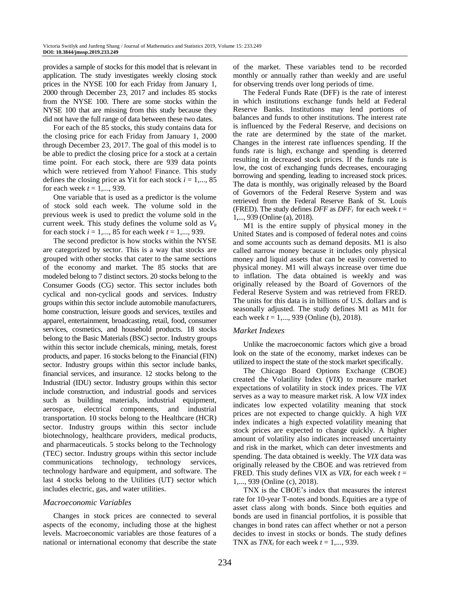provides a sample of stocks for this model that is relevant in application. The study investigates weekly closing stock prices in the NYSE 100 for each Friday from January 1, 2000 through December 23, 2017 and includes 85 stocks from the NYSE 100. There are some stocks within the NYSE 100 that are missing from this study because they did not have the full range of data between these two dates.

For each of the 85 stocks, this study contains data for the closing price for each Friday from January 1, 2000 through December 23, 2017. The goal of this model is to be able to predict the closing price for a stock at a certain time point. For each stock, there are 939 data points which were retrieved from Yahoo! Finance. This study defines the closing price as Yit for each stock  $i = 1, \ldots, 85$ for each week  $t = 1, \ldots, 939$ .

One variable that is used as a predictor is the volume of stock sold each week. The volume sold in the previous week is used to predict the volume sold in the current week. This study defines the volume sold as *Vit* for each stock *i* = 1,..., 85 for each week *t* = 1,..., 939.

The second predictor is how stocks within the NYSE are categorized by sector. This is a way that stocks are grouped with other stocks that cater to the same sections of the economy and market. The 85 stocks that are modeled belong to 7 distinct sectors. 20 stocks belong to the Consumer Goods (CG) sector. This sector includes both cyclical and non-cyclical goods and services. Industry groups within this sector include automobile manufacturers, home construction, leisure goods and services, textiles and apparel, entertainment, broadcasting, retail, food, consumer services, cosmetics, and household products. 18 stocks belong to the Basic Materials (BSC) sector. Industry groups within this sector include chemicals, mining, metals, forest products, and paper. 16 stocks belong to the Financial (FIN) sector. Industry groups within this sector include banks, financial services, and insurance. 12 stocks belong to the Industrial (IDU) sector. Industry groups within this sector include construction, and industrial goods and services such as building materials, industrial equipment, aerospace, electrical components, and industrial transportation. 10 stocks belong to the Healthcare (HCR) sector. Industry groups within this sector include biotechnology, healthcare providers, medical products, and pharmaceuticals. 5 stocks belong to the Technology (TEC) sector. Industry groups within this sector include communications technology, technology services, technology hardware and equipment, and software. The last 4 stocks belong to the Utilities (UT) sector which includes electric, gas, and water utilities.

## *Macroeconomic Variables*

Changes in stock prices are connected to several aspects of the economy, including those at the highest levels. Macroeconomic variables are those features of a national or international economy that describe the state of the market. These variables tend to be recorded monthly or annually rather than weekly and are useful for observing trends over long periods of time.

The Federal Funds Rate (DFF) is the rate of interest in which institutions exchange funds held at Federal Reserve Banks. Institutions may lend portions of balances and funds to other institutions. The interest rate is influenced by the Federal Reserve, and decisions on the rate are determined by the state of the market. Changes in the interest rate influences spending. If the funds rate is high, exchange and spending is deterred resulting in decreased stock prices. If the funds rate is low, the cost of exchanging funds decreases, encouraging borrowing and spending, leading to increased stock prices. The data is monthly, was originally released by the Board of Governors of the Federal Reserve System and was retrieved from the Federal Reserve Bank of St. Louis (FRED). The study defines  $DFF$  as  $DFF_t$  for each week  $t =$ 1,..., 939 (Online (a), 2018).

M1 is the entire supply of physical money in the United States and is composed of federal notes and coins and some accounts such as demand deposits. M1 is also called narrow money because it includes only physical money and liquid assets that can be easily converted to physical money. M1 will always increase over time due to inflation. The data obtained is weekly and was originally released by the Board of Governors of the Federal Reserve System and was retrieved from FRED. The units for this data is in billions of U.S. dollars and is seasonally adjusted. The study defines M1 as M1t for each week *t* = 1,..., 939 (Online (b), 2018).

## *Market Indexes*

Unlike the macroeconomic factors which give a broad look on the state of the economy, market indexes can be utilized to inspect the state of the stock market specifically.

The Chicago Board Options Exchange (CBOE) created the Volatility Index (*VIX*) to measure market expectations of volatility in stock index prices. The *VIX* serves as a way to measure market risk. A low *VIX* index indicates low expected volatility meaning that stock prices are not expected to change quickly. A high *VIX* index indicates a high expected volatility meaning that stock prices are expected to change quickly. A higher amount of volatility also indicates increased uncertainty and risk in the market, which can deter investments and spending. The data obtained is weekly. The *VIX* data was originally released by the CBOE and was retrieved from FRED. This study defines VIX as  $VIX_t$  for each week  $t =$ 1,..., 939 (Online (c), 2018).

TNX is the CBOE's index that measures the interest rate for 10-year T-notes and bonds. Equities are a type of asset class along with bonds. Since both equities and bonds are used in financial portfolios, it is possible that changes in bond rates can affect whether or not a person decides to invest in stocks or bonds. The study defines TNX as  $TNX_t$  for each week  $t = 1, \ldots, 939$ .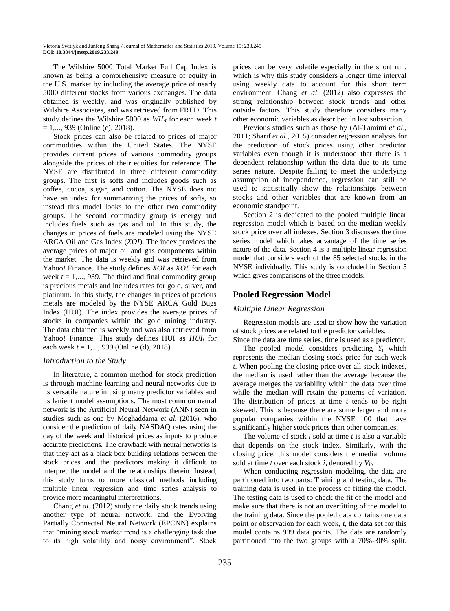The Wilshire 5000 Total Market Full Cap Index is known as being a comprehensive measure of equity in the U.S. market by including the average price of nearly 5000 different stocks from various exchanges. The data obtained is weekly, and was originally published by Wilshire Associates, and was retrieved from FRED. This study defines the Wilshire 5000 as *WIL<sup>t</sup>* for each week *t*  $= 1, \ldots, 939$  (Online (e), 2018).

Stock prices can also be related to prices of major commodities within the United States. The NYSE provides current prices of various commodity groups alongside the prices of their equities for reference. The NYSE are distributed in three different commodity groups. The first is softs and includes goods such as coffee, cocoa, sugar, and cotton. The NYSE does not have an index for summarizing the prices of softs, so instead this model looks to the other two commodity groups. The second commodity group is energy and includes fuels such as gas and oil. In this study, the changes in prices of fuels are modeled using the NYSE ARCA Oil and Gas Index (*XOI*). The index provides the average prices of major oil and gas components within the market. The data is weekly and was retrieved from Yahoo! Finance. The study defines *XOI* as *XOI<sup>t</sup>* for each week  $t = 1, \ldots, 939$ . The third and final commodity group is precious metals and includes rates for gold, silver, and platinum. In this study, the changes in prices of precious metals are modeled by the NYSE ARCA Gold Bugs Index (HUI). The index provides the average prices of stocks in companies within the gold mining industry. The data obtained is weekly and was also retrieved from Yahoo! Finance. This study defines HUI as *HUI<sup>t</sup>* for each week *t* = 1,..., 939 (Online (d), 2018).

## *Introduction to the Study*

In literature, a common method for stock prediction is through machine learning and neural networks due to its versatile nature in using many predictor variables and its lenient model assumptions. The most common neural network is the Artificial Neural Network (ANN) seen in studies such as one by Moghaddama *et al*. (2016), who consider the prediction of daily NASDAQ rates using the day of the week and historical prices as inputs to produce accurate predictions. The drawback with neural networks is that they act as a black box building relations between the stock prices and the predictors making it difficult to interpret the model and the relationships therein. Instead, this study turns to more classical methods including multiple linear regression and time series analysis to provide more meaningful interpretations.

Chang *et al*. (2012) study the daily stock trends using another type of neural network, and the Evolving Partially Connected Neural Network (EPCNN) explains that "mining stock market trend is a challenging task due to its high volatility and noisy environment". Stock prices can be very volatile especially in the short run, which is why this study considers a longer time interval using weekly data to account for this short term environment. Chang *et al*. (2012) also expresses the strong relationship between stock trends and other outside factors. This study therefore considers many other economic variables as described in last subsection.

Previous studies such as those by (Al-Tamimi *et al*., 2011; Sharif *et al*., 2015) consider regression analysis for the prediction of stock prices using other predictor variables even though it is understood that there is a dependent relationship within the data due to its time series nature. Despite failing to meet the underlying assumption of independence, regression can still be used to statistically show the relationships between stocks and other variables that are known from an economic standpoint.

Section 2 is dedicated to the pooled multiple linear regression model which is based on the median weekly stock price over all indexes. Section 3 discusses the time series model which takes advantage of the time series nature of the data. Section 4 is a multiple linear regression model that considers each of the 85 selected stocks in the NYSE individually. This study is concluded in Section 5 which gives comparisons of the three models.

# **Pooled Regression Model**

## *Multiple Linear Regression*

Regression models are used to show how the variation of stock prices are related to the predictor variables.

Since the data are time series, time is used as a predictor. The pooled model considers predicting  $Y_t$  which represents the median closing stock price for each week *t*. When pooling the closing price over all stock indexes, the median is used rather than the average because the average merges the variability within the data over time while the median will retain the patterns of variation. The distribution of prices at time *t* tends to be right skewed. This is because there are some larger and more popular companies within the NYSE 100 that have significantly higher stock prices than other companies.

The volume of stock *i* sold at time *t* is also a variable that depends on the stock index. Similarly, with the closing price, this model considers the median volume sold at time *t* over each stock *i*, denoted by *Vit*.

When conducting regression modeling, the data are partitioned into two parts: Training and testing data. The training data is used in the process of fitting the model. The testing data is used to check the fit of the model and make sure that there is not an overfitting of the model to the training data. Since the pooled data contains one data point or observation for each week, *t*, the data set for this model contains 939 data points. The data are randomly partitioned into the two groups with a 70%-30% split.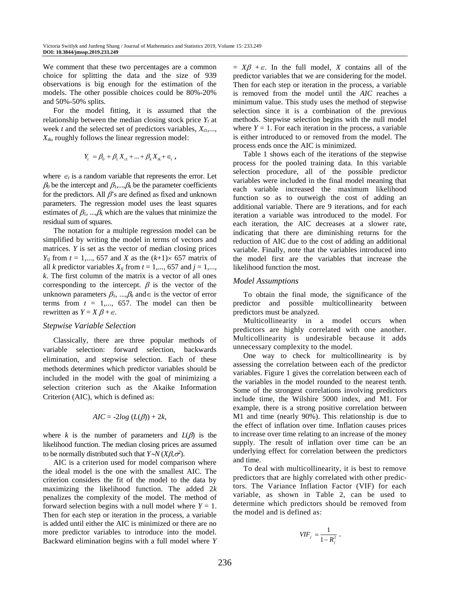We comment that these two percentages are a common choice for splitting the data and the size of 939 observations is big enough for the estimation of the models. The other possible choices could be 80%-20% and 50%-50% splits.

For the model fitting, it is assumed that the relationship between the median closing stock price  $Y_t$  at week *t* and the selected set of predictors variables,  $X_{t1},...,$  $X_{tk}$ , roughly follows the linear regression model:

$$
Y_t = \beta_0 + \beta_1 X_{t1} + \dots + \beta_k X_{tk} + \epsilon_t ,
$$

where  $\epsilon_t$  is a random variable that represents the error. Let  $\beta_0$  be the intercept and  $\beta_1, \dots, \beta_k$  be the parameter coefficients for the predictors. All  $\beta$ 's are defined as fixed and unknown parameters. The regression model uses the least squares estimates of  $\beta_1$ , ..., $\beta_k$  which are the values that minimize the residual sum of squares.

The notation for a multiple regression model can be simplified by writing the model in terms of vectors and matrices. *Y* is set as the vector of median closing prices  $Y_i$  from  $t = 1, \ldots, 657$  and *X* as the  $(k+1) \times 657$  matrix of all *k* predictor variables  $X_{tj}$  from  $t = 1,..., 657$  and  $j = 1,...,$ *k*. The first column of the matrix is a vector of all ones corresponding to the intercept.  $\beta$  is the vector of the unknown parameters  $\beta_1$ , ..., $\beta_k$  and  $\in$  is the vector of error terms from  $t = 1,..., 657$ . The model can then be rewritten as  $Y = X \beta + \epsilon$ .

#### *Stepwise Variable Selection*

Classically, there are three popular methods of variable selection: forward selection, backwards elimination, and stepwise selection. Each of these methods determines which predictor variables should be included in the model with the goal of minimizing a selection criterion such as the Akaike Information Criterion (AIC), which is defined as:

$$
AIC = -2log (L(\beta)) + 2k,
$$

where *k* is the number of parameters and  $L(\beta)$  is the likelihood function. The median closing prices are assumed to be normally distributed such that  $Y \sim N(X\beta, \sigma^2)$ .

AIC is a criterion used for model comparison where the ideal model is the one with the smallest AIC. The criterion considers the fit of the model to the data by maximizing the likelihood function. The added 2*k* penalizes the complexity of the model. The method of forward selection begins with a null model where  $Y = 1$ . Then for each step or iteration in the process, a variable is added until either the AIC is minimized or there are no more predictor variables to introduce into the model. Backward elimination begins with a full model where *Y*  $= X\beta + \epsilon$ . In the full model, *X* contains all of the predictor variables that we are considering for the model. Then for each step or iteration in the process, a variable is removed from the model until the *AIC* reaches a minimum value. This study uses the method of stepwise selection since it is a combination of the previous methods. Stepwise selection begins with the null model where  $Y = 1$ . For each iteration in the process, a variable is either introduced to or removed from the model. The process ends once the AIC is minimized.

Table 1 shows each of the iterations of the stepwise process for the pooled training data. In this variable selection procedure, all of the possible predictor variables were included in the final model meaning that each variable increased the maximum likelihood function so as to outweigh the cost of adding an additional variable. There are 9 iterations, and for each iteration a variable was introduced to the model. For each iteration, the AIC decreases at a slower rate, indicating that there are diminishing returns for the reduction of AIC due to the cost of adding an additional variable. Finally, note that the variables introduced into the model first are the variables that increase the likelihood function the most.

#### *Model Assumptions*

To obtain the final mode, the significance of the predictor and possible multicollinearity between predictors must be analyzed.

Multicollinearity in a model occurs when predictors are highly correlated with one another. Multicollinearity is undesirable because it adds unnecessary complexity to the model.

One way to check for multicollinearity is by assessing the correlation between each of the predictor variables. Figure 1 gives the correlation between each of the variables in the model rounded to the nearest tenth. Some of the strongest correlations involving predictors include time, the Wilshire 5000 index, and M1. For example, there is a strong positive correlation between M1 and time (nearly 90%). This relationship is due to the effect of inflation over time. Inflation causes prices to increase over time relating to an increase of the money supply. The result of inflation over time can be an underlying effect for correlation between the predictors and time.

To deal with multicollinearity, it is best to remove predictors that are highly correlated with other predictors. The Variance Inflation Factor (VIF) for each variable, as shown in Table 2, can be used to determine which predictors should be removed from the model and is defined as:

$$
VIF_j = \frac{1}{1 - R_j^2}.
$$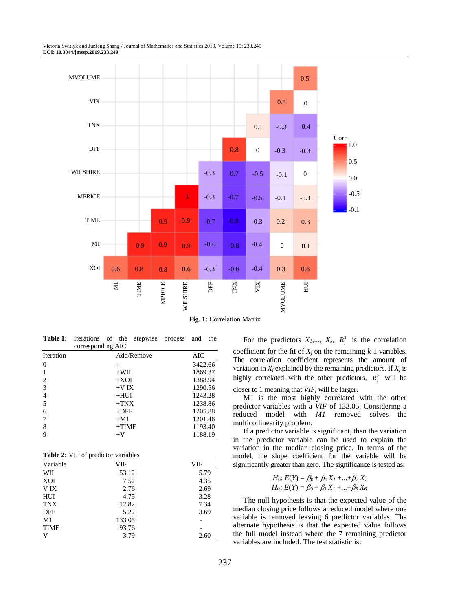Victoria Switlyk and Junfeng Shang / Journal of Mathematics and Statistics 2019, Volume 15: 233.249 **DOI: 10.3844/jmssp.2019.233.249**



**Fig. 1:** Correlation Matrix

**Table 1:** Iterations of the stepwise process and the corresponding AIC

| Iteration | Add/Remove | AIC     |
|-----------|------------|---------|
| $\Omega$  |            | 3422.66 |
|           | $+WIL$     | 1869.37 |
| 2         | $+XOI$     | 1388.94 |
| 3         | $+VIX$     | 1290.56 |
| 4         | $+HUI$     | 1243.28 |
| 5         | $+TNX$     | 1238.86 |
| 6         | $+$ DFF    | 1205.88 |
|           | $+M1$      | 1201.46 |
| 8         | $+TIME$    | 1193.40 |
| 9         | $+V$       | 1188.19 |

**Table 2:** VIF of predictor variables

| Variable    | VIF    | <b>VIF</b> |
|-------------|--------|------------|
| WIL         | 53.12  | 5.79       |
| XOI         | 7.52   | 4.35       |
| V IX        | 2.76   | 2.69       |
| HUI         | 4.75   | 3.28       |
| <b>TNX</b>  | 12.82  | 7.34       |
| <b>DFF</b>  | 5.22   | 3.69       |
| M1          | 133.05 |            |
| <b>TIME</b> | 93.76  | -          |
| V           | 3.79   | 2.60       |

For the predictors  $X_1, \ldots, X_k, R_i^2$  is the correlation coefficient for the fit of  $X_i$  on the remaining  $k-1$  variables. The correlation coefficient represents the amount of variation in  $X_i$  explained by the remaining predictors. If  $X_i$  is highly correlated with the other predictors,  $R_i^2$  will be closer to 1 meaning that *VIF<sup>j</sup>* will be larger.

M1 is the most highly correlated with the other predictor variables with a *VIF* of 133.05. Considering a reduced model with *M1* removed solves the multicollinearity problem.

If a predictor variable is significant, then the variation in the predictor variable can be used to explain the variation in the median closing price. In terms of the model, the slope coefficient for the variable will be significantly greater than zero. The significance is tested as:

*H*<sub>0</sub>: 
$$
E(Y) = \beta_0 + \beta_1 X_1 + ... + \beta_7 X_7
$$
  
\n*H*<sub>0</sub>:  $E(Y) = \beta_0 + \beta_1 X_1 + ... + \beta_6 X_6$ .

The null hypothesis is that the expected value of the median closing price follows a reduced model where one variable is removed leaving 6 predictor variables. The alternate hypothesis is that the expected value follows the full model instead where the 7 remaining predictor variables are included. The test statistic is: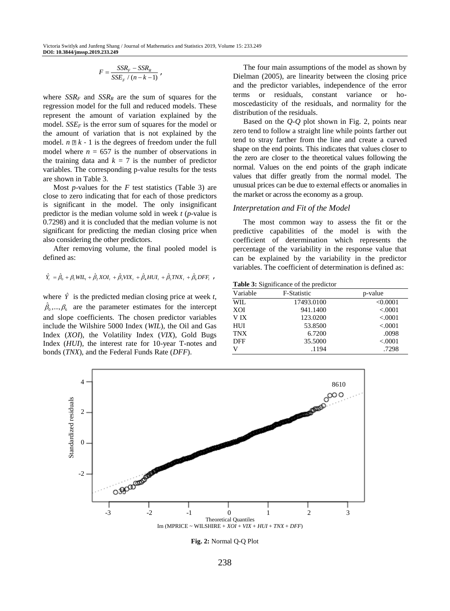,

$$
F = \frac{SSR_F - SSR_R}{SSE_F / (n - k - 1)}
$$

where  $SSR<sub>F</sub>$  and  $SSR<sub>R</sub>$  are the sum of squares for the regression model for the full and reduced models. These represent the amount of variation explained by the model. *SSE<sup>F</sup>* is the error sum of squares for the model or the amount of variation that is not explained by the model.  $n \nightharpoonup k - 1$  is the degrees of freedom under the full model where  $n = 657$  is the number of observations in the training data and  $k = 7$  is the number of predictor variables. The corresponding p-value results for the tests are shown in Table 3.

Most *p*-values for the *F* test statistics (Table 3) are close to zero indicating that for each of those predictors is significant in the model. The only insignificant predictor is the median volume sold in week *t* (*p*-value is 0.7298) and it is concluded that the median volume is not significant for predicting the median closing price when also considering the other predictors.

After removing volume, the final pooled model is defined as:

$$
\hat{Y}_t = \hat{\beta}_0 + \beta_1 W I L_t + \hat{\beta}_2 X O I_t + \hat{\beta}_3 V I X_t + \hat{\beta}_4 H U I_t + \hat{\beta}_5 T N X_t + \hat{\beta}_6 D F F_t
$$

where  $\hat{Y}$  is the predicted median closing price at week *t*,  $\hat{\beta}_0, ..., \beta_6$  are the parameter estimates for the intercept and slope coefficients. The chosen predictor variables include the Wilshire 5000 Index (*WIL*), the Oil and Gas Index (*XOI*), the Volatility Index (*VIX*), Gold Bugs Index (*HUI*), the interest rate for 10-year T-notes and bonds (*TNX*), and the Federal Funds Rate (*DFF*).

The four main assumptions of the model as shown by Dielman (2005), are linearity between the closing price and the predictor variables, independence of the error terms or residuals, constant variance or homoscedasticity of the residuals, and normality for the distribution of the residuals.

Based on the *Q*-*Q* plot shown in Fig. 2, points near zero tend to follow a straight line while points farther out tend to stray farther from the line and create a curved shape on the end points. This indicates that values closer to the zero are closer to the theoretical values following the normal. Values on the end points of the graph indicate values that differ greatly from the normal model. The unusual prices can be due to external effects or anomalies in the market or across the economy as a group.

#### *Interpretation and Fit of the Model*

The most common way to assess the fit or the predictive capabilities of the model is with the coefficient of determination which represents the percentage of the variability in the response value that can be explained by the variability in the predictor variables. The coefficient of determination is defined as:

**Table 3:** Significance of the predictor

| Variable   | <b>F-Statistic</b> | p-value  |
|------------|--------------------|----------|
| WIL.       | 17493.0100         | < 0.0001 |
| XOI        | 941.1400           | < .0001  |
| V IX       | 123,0200           | < .0001  |
| HUI        | 53.8500            | < .0001  |
| <b>TNX</b> | 6.7200             | .0098    |
| <b>DFF</b> | 35.5000            | < .0001  |
| V          | .1194              | .7298    |



**Fig. 2:** Normal Q-Q Plot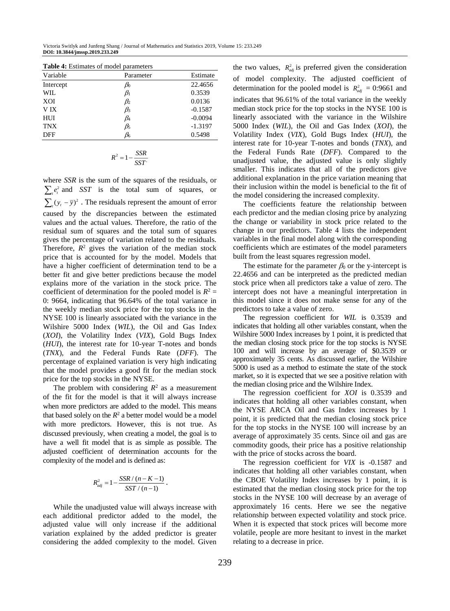| <b>Table 4:</b> Estimates of model parameters |           |           |  |
|-----------------------------------------------|-----------|-----------|--|
| Variable                                      | Parameter | Estimate  |  |
| Intercept                                     | $\beta_0$ | 22.4656   |  |
| WIL.                                          | $\beta_1$ | 0.3539    |  |
| XOI                                           | $\beta_2$ | 0.0136    |  |
| V IX                                          | $\beta_3$ | $-0.1587$ |  |
| HUI                                           | $\beta_4$ | $-0.0094$ |  |
| <b>TNX</b>                                    | $\beta_5$ | $-1.3197$ |  |
| DFF                                           | $\beta_6$ | 0.5498    |  |

$$
R^2 = 1 - \frac{SSR}{SST}
$$

where *SSR* is the sum of the squares of the residuals, or  $\sum_{i} e_i^2$  and *SST* is the total sum of squares, or  $\sum_{t} (y_t - \overline{y})^2$ . The residuals represent the amount of error caused by the discrepancies between the estimated values and the actual values. Therefore, the ratio of the residual sum of squares and the total sum of squares gives the percentage of variation related to the residuals. Therefore,  $R^2$  gives the variation of the median stock price that is accounted for by the model. Models that have a higher coefficient of determination tend to be a better fit and give better predictions because the model explains more of the variation in the stock price. The coefficient of determination for the pooled model is  $R^2 =$ 0: 9664, indicating that 96.64% of the total variance in the weekly median stock price for the top stocks in the NYSE 100 is linearly associated with the variance in the Wilshire 5000 Index (*WIL*), the Oil and Gas Index (*XOI*), the Volatility Index (*VIX*), Gold Bugs Index (*HUI*), the interest rate for 10-year T-notes and bonds (*TNX*), and the Federal Funds Rate (*DFF*). The percentage of explained variation is very high indicating that the model provides a good fit for the median stock price for the top stocks in the NYSE.

The problem with considering  $R^2$  as a measurement of the fit for the model is that it will always increase when more predictors are added to the model. This means that based solely on the  $R^2$  a better model would be a model with more predictors. However, this is not true. As discussed previously, when creating a model, the goal is to have a well fit model that is as simple as possible. The adjusted coefficient of determination accounts for the complexity of the model and is defined as:

$$
R_{\text{adj}}^2 = 1 - \frac{SSR/(n-K-1)}{SST/(n-1)}.
$$

While the unadjusted value will always increase with each additional predictor added to the model, the adjusted value will only increase if the additional variation explained by the added predictor is greater considering the added complexity to the model. Given

the two values,  $R_{adj}^2$  is preferred given the consideration of model complexity. The adjusted coefficient of determination for the pooled model is  $R_{adj}^2 = 0.9661$  and indicates that 96.61% of the total variance in the weekly median stock price for the top stocks in the NYSE 100 is linearly associated with the variance in the Wilshire 5000 Index (*WIL*), the Oil and Gas Index (*XOI*), the Volatility Index (*VIX*), Gold Bugs Index (*HUI*), the interest rate for 10-year T-notes and bonds (*TNX*), and the Federal Funds Rate (*DFF*). Compared to the unadjusted value, the adjusted value is only slightly smaller. This indicates that all of the predictors give additional explanation in the price variation meaning that their inclusion within the model is beneficial to the fit of the model considering the increased complexity.

The coefficients feature the relationship between each predictor and the median closing price by analyzing the change or variability in stock price related to the change in our predictors. Table 4 lists the independent variables in the final model along with the corresponding coefficients which are estimates of the model parameters built from the least squares regression model.

The estimate for the parameter  $\beta_0$  or the y-intercept is 22.4656 and can be interpreted as the predicted median stock price when all predictors take a value of zero. The intercept does not have a meaningful interpretation in this model since it does not make sense for any of the predictors to take a value of zero.

The regression coefficient for *WIL* is 0.3539 and indicates that holding all other variables constant, when the Wilshire 5000 Index increases by 1 point, it is predicted that the median closing stock price for the top stocks is NYSE 100 and will increase by an average of \$0.3539 or approximately 35 cents. As discussed earlier, the Wilshire 5000 is used as a method to estimate the state of the stock market, so it is expected that we see a positive relation with the median closing price and the Wilshire Index.

The regression coefficient for *XOI* is 0.3539 and indicates that holding all other variables constant, when the NYSE ARCA Oil and Gas Index increases by 1 point, it is predicted that the median closing stock price for the top stocks in the NYSE 100 will increase by an average of approximately 35 cents. Since oil and gas are commodity goods, their price has a positive relationship with the price of stocks across the board.

The regression coefficient for *VIX* is -0.1587 and indicates that holding all other variables constant, when the CBOE Volatility Index increases by 1 point, it is estimated that the median closing stock price for the top stocks in the NYSE 100 will decrease by an average of approximately 16 cents. Here we see the negative relationship between expected volatility and stock price. When it is expected that stock prices will become more volatile, people are more hesitant to invest in the market relating to a decrease in price.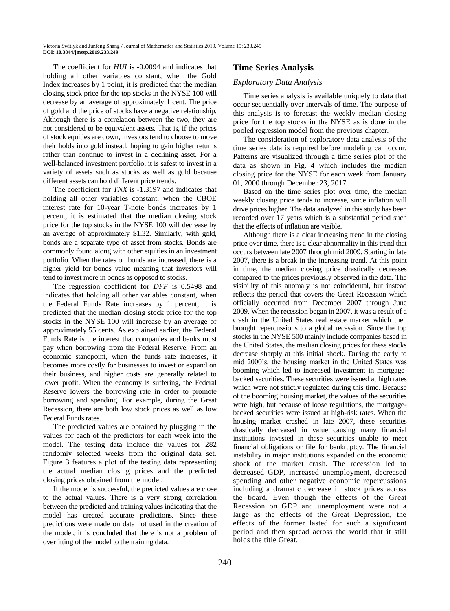The coefficient for *HUI* is -0.0094 and indicates that holding all other variables constant, when the Gold Index increases by 1 point, it is predicted that the median closing stock price for the top stocks in the NYSE 100 will decrease by an average of approximately 1 cent. The price of gold and the price of stocks have a negative relationship. Although there is a correlation between the two, they are not considered to be equivalent assets. That is, if the prices of stock equities are down, investors tend to choose to move their holds into gold instead, hoping to gain higher returns rather than continue to invest in a declining asset. For a well-balanced investment portfolio, it is safest to invest in a variety of assets such as stocks as well as gold because different assets can hold different price trends.

The coefficient for *TNX* is -1.3197 and indicates that holding all other variables constant, when the CBOE interest rate for 10-year T-note bonds increases by 1 percent, it is estimated that the median closing stock price for the top stocks in the NYSE 100 will decrease by an average of approximately \$1.32. Similarly, with gold, bonds are a separate type of asset from stocks. Bonds are commonly found along with other equities in an investment portfolio. When the rates on bonds are increased, there is a higher yield for bonds value meaning that investors will tend to invest more in bonds as opposed to stocks.

The regression coefficient for *DFF* is 0.5498 and indicates that holding all other variables constant, when the Federal Funds Rate increases by 1 percent, it is predicted that the median closing stock price for the top stocks in the NYSE 100 will increase by an average of approximately 55 cents. As explained earlier, the Federal Funds Rate is the interest that companies and banks must pay when borrowing from the Federal Reserve. From an economic standpoint, when the funds rate increases, it becomes more costly for businesses to invest or expand on their business, and higher costs are generally related to lower profit. When the economy is suffering, the Federal Reserve lowers the borrowing rate in order to promote borrowing and spending. For example, during the Great Recession, there are both low stock prices as well as low Federal Funds rates.

The predicted values are obtained by plugging in the values for each of the predictors for each week into the model. The testing data include the values for 282 randomly selected weeks from the original data set. Figure 3 features a plot of the testing data representing the actual median closing prices and the predicted closing prices obtained from the model.

If the model is successful, the predicted values are close to the actual values. There is a very strong correlation between the predicted and training values indicating that the model has created accurate predictions. Since these predictions were made on data not used in the creation of the model, it is concluded that there is not a problem of overfitting of the model to the training data.

# **Time Series Analysis**

# *Exploratory Data Analysis*

Time series analysis is available uniquely to data that occur sequentially over intervals of time. The purpose of this analysis is to forecast the weekly median closing price for the top stocks in the NYSE as is done in the pooled regression model from the previous chapter.

The consideration of exploratory data analysis of the time series data is required before modeling can occur. Patterns are visualized through a time series plot of the data as shown in Fig. 4 which includes the median closing price for the NYSE for each week from January 01, 2000 through December 23, 2017.

Based on the time series plot over time, the median weekly closing price tends to increase, since inflation will drive prices higher. The data analyzed in this study has been recorded over 17 years which is a substantial period such that the effects of inflation are visible.

Although there is a clear increasing trend in the closing price over time, there is a clear abnormality in this trend that occurs between late 2007 through mid 2009. Starting in late 2007, there is a break in the increasing trend. At this point in time, the median closing price drastically decreases compared to the prices previously observed in the data. The visibility of this anomaly is not coincidental, but instead reflects the period that covers the Great Recession which officially occurred from December 2007 through June 2009. When the recession began in 2007, it was a result of a crash in the United States real estate market which then brought repercussions to a global recession. Since the top stocks in the NYSE 500 mainly include companies based in the United States, the median closing prices for these stocks decrease sharply at this initial shock. During the early to mid 2000's, the housing market in the United States was booming which led to increased investment in mortgagebacked securities. These securities were issued at high rates which were not strictly regulated during this time. Because of the booming housing market, the values of the securities were high, but because of loose regulations, the mortgagebacked securities were issued at high-risk rates. When the housing market crashed in late 2007, these securities drastically decreased in value causing many financial institutions invested in these securities unable to meet financial obligations or file for bankruptcy. The financial instability in major institutions expanded on the economic shock of the market crash. The recession led to decreased GDP, increased unemployment, decreased spending and other negative economic repercussions including a dramatic decrease in stock prices across the board. Even though the effects of the Great Recession on GDP and unemployment were not a large as the effects of the Great Depression, the effects of the former lasted for such a significant period and then spread across the world that it still holds the title Great.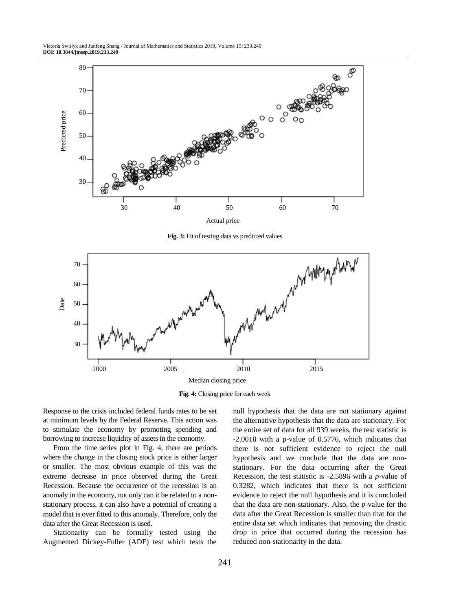

**Fig. 3:** Fit of testing data vs predicted values



**Fig. 4:** Closing price for each week

Response to the crisis included federal funds rates to be set at minimum levels by the Federal Reserve. This action was to stimulate the economy by promoting spending and borrowing to increase liquidity of assets in the economy.

From the time series plot in Fig. 4, there are periods where the change in the closing stock price is either larger or smaller. The most obvious example of this was the extreme decrease in price observed during the Great Recession. Because the occurrence of the recession is an anomaly in the economy, not only can it be related to a nonstationary process, it can also have a potential of creating a model that is over fitted to this anomaly. Therefore, only the data after the Great Recession is used.

Stationarity can be formally tested using the Augmented Dickey-Fuller (ADF) test which tests the null hypothesis that the data are not stationary against the alternative hypothesis that the data are stationary. For the entire set of data for all 939 weeks, the test statistic is -2.0018 with a p-value of 0.5776, which indicates that there is not sufficient evidence to reject the null hypothesis and we conclude that the data are nonstationary. For the data occurring after the Great Recession, the test statistic is -2.5896 with a *p*-value of 0.3282, which indicates that there is not sufficient evidence to reject the null hypothesis and it is concluded that the data are non-stationary. Also, the *p*-value for the data after the Great Recession is smaller than that for the entire data set which indicates that removing the drastic drop in price that occurred during the recession has reduced non-stationarity in the data.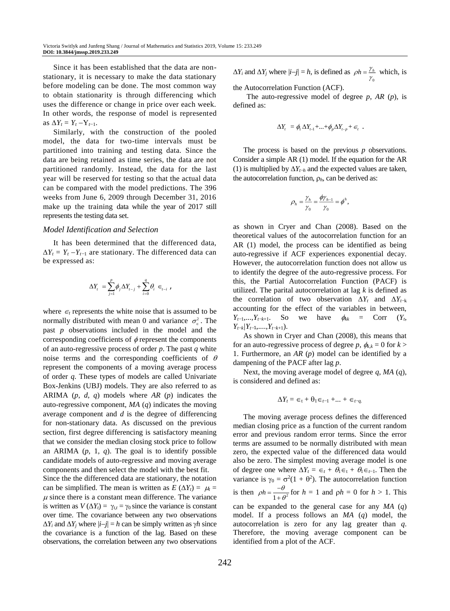Since it has been established that the data are nonstationary, it is necessary to make the data stationary before modeling can be done. The most common way to obtain stationarity is through differencing which uses the difference or change in price over each week. In other words, the response of model is represented as  $\Delta Y_t = Y_t - Y_{t-1}$ .

Similarly, with the construction of the pooled model, the data for two-time intervals must be partitioned into training and testing data. Since the data are being retained as time series, the data are not partitioned randomly. Instead, the data for the last year will be reserved for testing so that the actual data can be compared with the model predictions. The 396 weeks from June 6, 2009 through December 31, 2016 make up the training data while the year of 2017 still represents the testing data set.

#### *Model Identification and Selection*

It has been determined that the differenced data,  $\Delta Y_t = Y_t - Y_{t-1}$  are stationary. The differenced data can be expressed as:

$$
\Delta Y_t = \sum_{j=1}^p \phi_j \Delta Y_{t-j} + \sum_{i=0}^q \theta_i \in H_{t-i}
$$

where  $\epsilon_t$  represents the white noise that is assumed to be normally distributed with mean 0 and variance  $\sigma_{\epsilon}^2$ . The past *p* observations included in the model and the corresponding coefficients of  $\phi$  represent the components of an auto-regressive process of order *p*. The past *q* white noise terms and the corresponding coefficients of  $\theta$ represent the components of a moving average process of order *q*. These types of models are called Univariate Box-Jenkins (UBJ) models. They are also referred to as ARIMA (*p*, *d*, *q*) models where *AR* (*p*) indicates the auto-regressive component, *MA* (*q*) indicates the moving average component and *d* is the degree of differencing for non-stationary data. As discussed on the previous section, first degree differencing is satisfactory meaning that we consider the median closing stock price to follow an ARIMA (*p*, 1, *q*). The goal is to identify possible candidate models of auto-regressive and moving average components and then select the model with the best fit.

Since the the differenced data are stationary, the notation can be simplified. The mean is written as  $E(\Delta Y_t) = \mu_t =$  $\mu$  since there is a constant mean difference. The variance is written as  $V(\Delta Y_t) = \gamma_{t,t} = \gamma_0$  since the variance is constant over time. The covariance between any two observations  $\Delta Y_i$  and  $\Delta Y_j$  where  $|i-j| = h$  can be simply written as  $\gamma h$  since the covariance is a function of the lag. Based on these observations, the correlation between any two observations  $\Delta Y_i$  and  $\Delta Y_j$  where  $|i-j| = h$ , is defined as  $\rho h = \frac{\gamma_h}{h}$  which, is γ

the Autocorrelation Function (ACF).

The auto-regressive model of degree *p*, *AR* (*p*), is defined as:

$$
\Delta Y_t = \phi_1 \, \Delta Y_{t-1} + \ldots + \phi_p \Delta Y_{t-p} + \epsilon_t \quad .
$$

The process is based on the previous *p* observations. Consider a simple AR (1) model. If the equation for the AR (1) is multiplied by  $\Delta Y_{t+h}$  and the expected values are taken, the autocorrelation function,  $\rho_h$ , can be derived as:

$$
\rho_h = \frac{\gamma_h}{\gamma_0} = \frac{\phi \gamma_{h-1}}{\gamma_0} = \phi^h,
$$

as shown in Cryer and Chan (2008). Based on the theoretical values of the autocorrelation function for an AR (1) model, the process can be identified as being auto-regressive if ACF experiences exponential decay. However, the autocorrelation function does not allow us to identify the degree of the auto-regressive process. For this, the Partial Autocorrelation Function (PACF) is utilized. The parital autocorrelation at lag *k* is defined as the correlation of two observation  $\Delta Y_t$  and  $\Delta Y_{t-k}$ accounting for the effect of the variables in between,  $Y_{t-1},...,Y_{t-k+1}$ . So we have  $\phi_{kk}$  = Corr  $(Y_t,$  $Y_{t-k}/Y_{t-1},...,Y_{t-k+1}$ .

As shown in Cryer and Chan (2008), this means that for an auto-regressive process of degree *p*,  $\phi_{k,k} = 0$  for  $k >$ 1. Furthermore, an *AR* (*p*) model can be identified by a dampening of the PACF after lag *p*.

Next, the moving average model of degree *q*, *MA* (*q*), is considered and defined as:

$$
\Delta Y_t = \epsilon_t + \theta_1 \epsilon_{t-1} + \dots + \epsilon_{t-q}
$$

The moving average process defines the differenced median closing price as a function of the current random error and previous random error terms. Since the error terms are assumed to be normally distributed with mean zero, the expected value of the differenced data would also be zero. The simplest moving average model is one of degree one where  $\Delta Y_t = \epsilon_t + \theta_1 \epsilon_t + \theta_1 \epsilon_{t-1}$ . Then the variance is  $\gamma_0 = \sigma^2(1 + \theta^2)$ . The autocorrelation function is then  $\rho h = \frac{-\theta}{1 + \theta^2}$  $f(x) = \frac{-b}{1 + \theta^2}$  for  $h = 1$  and  $\rho h = 0$  for  $h > 1$ . This can be expanded to the general case for any *MA* (*q*) model. If a process follows an *MA* (*q*) model, the autocorrelation is zero for any lag greater than *q*. Therefore, the moving average component can be

identified from a plot of the ACF.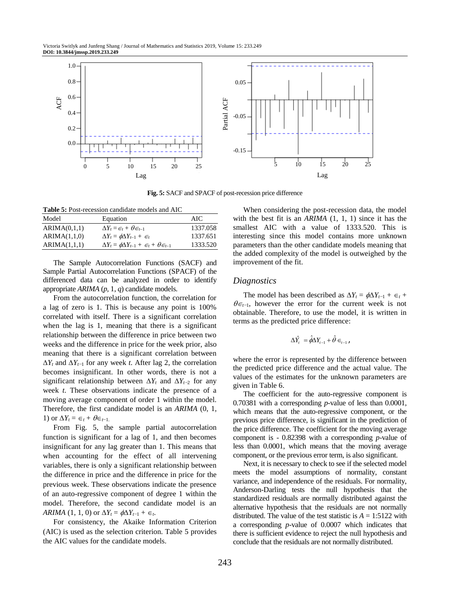

**Fig. 5:** SACF and SPACF of post-recession price difference

**Table 5:** Post-recession candidate models and AIC

| Model        | Equation                                                                | AIC.     |
|--------------|-------------------------------------------------------------------------|----------|
| ARIMA(0,1,1) | $\Delta Y_t = \epsilon_t + \theta \epsilon_{t-1}$                       | 1337.058 |
| ARIMA(1,1,0) | $\Delta Y_t = \phi \Delta Y_{t-1} + \epsilon_t$                         | 1337.651 |
| ARIMA(1,1,1) | $\Delta Y_t = \phi \Delta Y_{t-1} + \epsilon_t + \theta \epsilon_{t-1}$ | 1333.520 |

The Sample Autocorrelation Functions (SACF) and Sample Partial Autocorrelation Functions (SPACF) of the differenced data can be analyzed in order to identify appropriate *ARIMA* (*p*, 1, *q*) candidate models.

From the autocorrelation function, the correlation for a lag of zero is 1. This is because any point is 100% correlated with itself. There is a significant correlation when the lag is 1, meaning that there is a significant relationship between the difference in price between two weeks and the difference in price for the week prior, also meaning that there is a significant correlation between  $\Delta Y_t$  and  $\Delta Y_{t-1}$  for any week *t*. After lag 2, the correlation becomes insignificant. In other words, there is not a significant relationship between  $\Delta Y_t$  and  $\Delta Y_{t-2}$  for any week *t*. These observations indicate the presence of a moving average component of order 1 within the model. Therefore, the first candidate model is an *ARIMA* (0, 1, 1) or  $\Delta Y_t = \epsilon_t + \theta \epsilon_{t-1}$ .

From Fig. 5, the sample partial autocorrelation function is significant for a lag of 1, and then becomes insignificant for any lag greater than 1. This means that when accounting for the effect of all intervening variables, there is only a significant relationship between the difference in price and the difference in price for the previous week. These observations indicate the presence of an auto-regressive component of degree 1 within the model. Therefore, the second candidate model is an *ARIMA* (1, 1, 0) or  $\Delta Y_t = \phi \Delta Y_{t-1} + \epsilon_t$ .

For consistency, the Akaike Information Criterion (AIC) is used as the selection criterion. Table 5 provides the AIC values for the candidate models.

When considering the post-recession data, the model with the best fit is an *ARIMA* (1, 1, 1) since it has the smallest AIC with a value of 1333.520. This is interesting since this model contains more unknown parameters than the other candidate models meaning that the added complexity of the model is outweighed by the improvement of the fit.

## *Diagnostics*

The model has been described as  $\Delta Y_t = \phi \Delta Y_{t-1} + \epsilon_t +$  $\theta \in \mathbb{R}$ , however the error for the current week is not obtainable. Therefore, to use the model, it is written in terms as the predicted price difference:

$$
\Delta \hat{Y}_t = \hat{\phi} \Delta Y_{t-1} + \hat{\theta} \in \mathcal{F}_{t-1}
$$

where the error is represented by the difference between the predicted price difference and the actual value. The values of the estimates for the unknown parameters are given in Table 6.

The coefficient for the auto-regressive component is 0.70381 with a corresponding *p*-value of less than 0.0001, which means that the auto-regressive component, or the previous price difference, is significant in the prediction of the price difference. The coefficient for the moving average component is - 0.82398 with a corresponding *p*-value of less than 0.0001, which means that the moving average component, or the previous error term, is also significant.

Next, it is necessary to check to see if the selected model meets the model assumptions of normality, constant variance, and independence of the residuals. For normality, Anderson-Darling tests the null hypothesis that the standardized residuals are normally distributed against the alternative hypothesis that the residuals are not normally distributed. The value of the test statistic is  $A = 1:5122$  with a corresponding *p*-value of 0.0007 which indicates that there is sufficient evidence to reject the null hypothesis and conclude that the residuals are not normally distributed.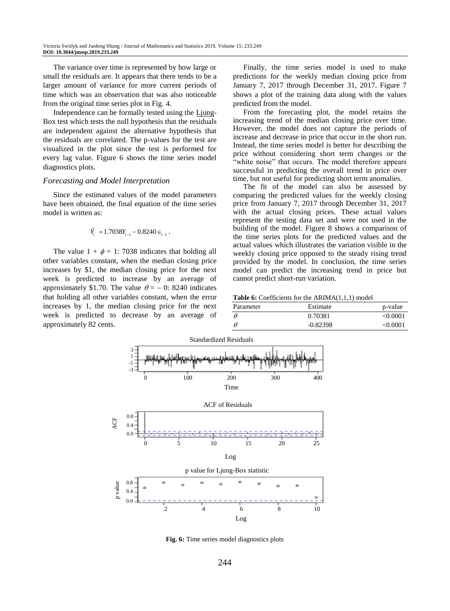The variance over time is represented by how large or small the residuals are. It appears that there tends to be a larger amount of variance for more current periods of time which was an observation that was also noticeable from the original time series plot in Fig. 4.

Independence can be formally tested using the Ljung-Box test which tests the null hypothesis that the residuals are independent against the alternative hypothesis that the residuals are correlated. The p-values for the test are visualized in the plot since the test is performed for every lag value. Figure 6 shows the time series model diagnostics plots.

#### *Forecasting and Model Interpretation*

Since the estimated values of the model parameters have been obtained, the final equation of the time series model is written as:

$$
\hat{Y}_t = 1.7038 Y_{t-1} - 0.8240 \in_{t-1}.
$$

The value  $1 + \phi = 1$ : 7038 indicates that holding all other variables constant, when the median closing price increases by \$1, the median closing price for the next week is predicted to increase by an average of approximately \$1.70. The value  $\theta = -0$ : 8240 indicates that holding all other variables constant, when the error increases by 1, the median closing price for the next week is predicted to decrease by an average of approximately 82 cents.

Finally, the time series model is used to make predictions for the weekly median closing price from January 7, 2017 through December 31, 2017. Figure 7 shows a plot of the training data along with the values predicted from the model.

From the forecasting plot, the model retains the increasing trend of the median closing price over time. However, the model does not capture the periods of increase and decrease in price that occur in the short run. Instead, the time series model is better for describing the price without considering short term changes or the "white noise" that occurs. The model therefore appears successful in predicting the overall trend in price over time, but not useful for predicting short term anomalies.

The fit of the model can also be assessed by comparing the predicted values for the weekly closing price from January 7, 2017 through December 31, 2017 with the actual closing prices. These actual values represent the testing data set and were not used in the building of the model. Figure 8 shows a comparison of the time series plots for the predicted values and the actual values which illustrates the variation visible in the weekly closing price opposed to the steady rising trend provided by the model. In conclusion, the time series model can predict the increasing trend in price but cannot predict short-run variation.

**Table 6:** Coefficients for the ARIMA(1,1,1) model

| Parameter | Estimate   | p-value  |
|-----------|------------|----------|
|           | 0.70381    | < 0.0001 |
|           | $-0.82398$ | < 0.0001 |



**Fig. 6:** Time series model diagnostics plots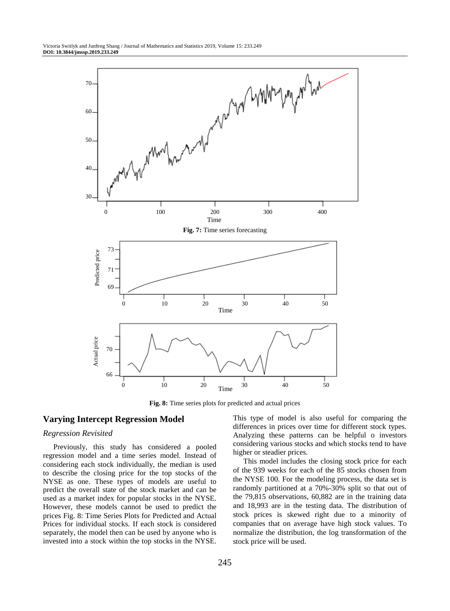

**Fig. 8:** Time series plots for predicted and actual prices

# **Varying Intercept Regression Model**

#### *Regression Revisited*

Previously, this study has considered a pooled regression model and a time series model. Instead of considering each stock individually, the median is used to describe the closing price for the top stocks of the NYSE as one. These types of models are useful to predict the overall state of the stock market and can be used as a market index for popular stocks in the NYSE. However, these models cannot be used to predict the prices Fig. 8: Time Series Plots for Predicted and Actual Prices for individual stocks. If each stock is considered separately, the model then can be used by anyone who is invested into a stock within the top stocks in the NYSE.

This type of model is also useful for comparing the differences in prices over time for different stock types. Analyzing these patterns can be helpful o investors considering various stocks and which stocks tend to have higher or steadier prices.

This model includes the closing stock price for each of the 939 weeks for each of the 85 stocks chosen from the NYSE 100. For the modeling process, the data set is randomly partitioned at a 70%-30% split so that out of the 79,815 observations, 60,882 are in the training data and 18,993 are in the testing data. The distribution of stock prices is skewed right due to a minority of companies that on average have high stock values. To normalize the distribution, the log transformation of the stock price will be used.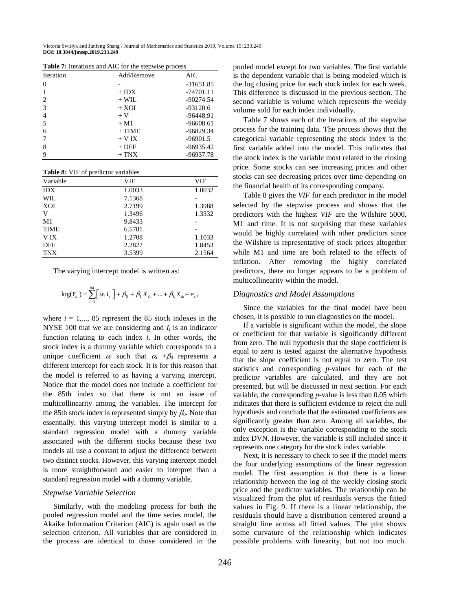| Table 7: Iterations and AIC for the stepwise process |  |  |
|------------------------------------------------------|--|--|
|------------------------------------------------------|--|--|

| <b>Iteration</b> | Add/Remove | AIC         |
|------------------|------------|-------------|
| $\Omega$         |            | $-31651.85$ |
|                  | $+$ IDX    | $-74701.11$ |
| 2                | $+ WII.$   | $-90274.54$ |
| 3                | $+$ XOI    | $-93120.6$  |
| 4                | $+V$       | $-96448.91$ |
| 5                | $+ M1$     | $-96608.61$ |
| 6                | $+$ TIME   | $-96829.34$ |
|                  | $+$ V IX   | $-96901.5$  |
| 8                | $+$ DFF    | $-96935.42$ |
| 9                | $+$ TNX    | $-96937.78$ |

| Table 8: VIF of predictor variables |        |        |  |
|-------------------------------------|--------|--------|--|
| Variable                            | VIF    | VIF    |  |
| <b>IDX</b>                          | 1.0033 | 1.0032 |  |
| WIL                                 | 7.1368 |        |  |
| XOI                                 | 2.7199 | 1.3988 |  |
| V                                   | 1.3496 | 1.3332 |  |
| M <sub>1</sub>                      | 9.8433 |        |  |
| <b>TIME</b>                         | 6.5781 |        |  |
| V IX                                | 1.2708 | 1.1033 |  |
| DFF                                 | 2.2827 | 1.8453 |  |
| <b>TNX</b>                          | 3.5399 | 2.1564 |  |

The varying intercept model is written as:

$$
\log(Y_{ii}) = \sum_{i=1}^{84} \left[ \alpha_i I_i \right] + \beta_0 + \beta_1 X_{i1} + ... + \beta_k X_{ik} + \epsilon_i,
$$

where  $i = 1, \ldots, 85$  represent the 85 stock indexes in the NYSE 100 that we are considering and  $I_i$  is an indicator function relating to each index *i*. In other words, the stock index is a dummy variable which corresponds to a unique coefficient  $\alpha_i$  such that  $\alpha_i + \beta_0$  represents a different intercept for each stock. It is for this reason that the model is referred to as having a varying intercept. Notice that the model does not include a coefficient for the 85th index so that there is not an issue of multicollinearity among the variables. The intercept for the 85th stock index is represented simply by  $\beta_0$ . Note that essentially, this varying intercept model is similar to a standard regression model with a dummy variable associated with the different stocks because these two models all use a constant to adjust the difference between two distinct stocks. However, this varying intercept model is more straightforward and easier to interpret than a standard regression model with a dummy variable.

### *Stepwise Variable Selection*

Similarly, with the modeling process for both the pooled regression model and the time series model, the Akaike Information Criterion (AIC) is again used as the selection criterion. All variables that are considered in the process are identical to those considered in the pooled model except for two variables. The first variable is the dependent variable that is being modeled which is the log closing price for each stock index for each week. This difference is discussed in the previous section. The second variable is volume which represents the weekly volume sold for each index individually.

Table 7 shows each of the iterations of the stepwise process for the training data. The process shows that the categorical variable representing the stock index is the first variable added into the model. This indicates that the stock index is the variable most related to the closing price. Some stocks can see increasing prices and other stocks can see decreasing prices over time depending on the financial health of its corresponding company.

Table 8 gives the *VIF* for each predictor in the model selected by the stepwise process and shows that the predictors with the highest *VIF* are the Wilshire 5000, M1 and time. It is not surprising that these variables would be highly correlated with other predictors since the Wilshire is representative of stock prices altogether while M1 and time are both related to the effects of inflation. After removing the highly correlated predictors, there no longer appears to be a problem of multicollinearity within the model.

#### *Diagnostics and Model Assumptions*

Since the variables for the final model have been chosen, it is possible to run diagnostics on the model.

If a variable is significant within the model, the slope or coefficient for that variable is significantly different from zero. The null hypothesis that the slope coefficient is equal to zero is tested against the alternative hypothesis that the slope coefficient is not equal to zero. The test statistics and corresponding *p*-values for each of the predictor variables are calculated, and they are not presented, but will be discussed in next section. For each variable, the corresponding *p*-value is less than 0.05 which indicates that there is sufficient evidence to reject the null hypothesis and conclude that the estimated coefficients are significantly greater than zero. Among all variables, the only exception is the variable corresponding to the stock index DVN. However, the variable is still included since it represents one category for the stock index variable.

Next, it is necessary to check to see if the model meets the four underlying assumptions of the linear regression model. The first assumption is that there is a linear relationship between the log of the weekly closing stock price and the predictor variables. The relationship can be visualized from the plot of residuals versus the fitted values in Fig. 9. If there is a linear relationship, the residuals should have a distribution centered around a straight line across all fitted values. The plot shows some curvature of the relationship which indicates possible problems with linearity, but not too much.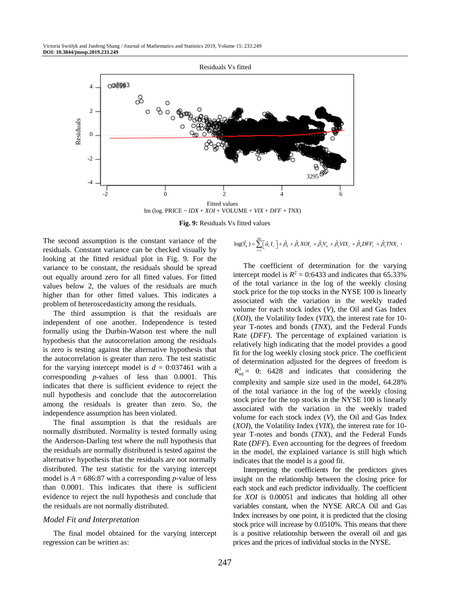

**Fig. 9:** Residuals Vs fitted values

The second assumption is the constant variance of the residuals. Constant variance can be checked visually by looking at the fitted residual plot in Fig. 9. For the variance to be constant, the residuals should be spread out equally around zero for all fitted values. For fitted values below 2, the values of the residuals are much higher than for other fitted values. This indicates a problem of heteroscedasticity among the residuals.

The third assumption is that the residuals are independent of one another. Independence is tested formally using the Durbin-Watson test where the null hypothesis that the autocorrelation among the residuals is zero is testing against the alternative hypothesis that the autocorrelation is greater than zero. The test statistic for the varying intercept model is  $d = 0.037461$  with a corresponding *p*-values of less than 0.0001. This indicates that there is sufficient evidence to reject the null hypothesis and conclude that the autocorrelation among the residuals is greater than zero. So, the independence assumption has been violated.

The final assumption is that the residuals are normally distributed. Normality is tested formally using the Anderson-Darling test where the null hypothesis that the residuals are normally distributed is tested against the alternative hypothesis that the residuals are not normally distributed. The test statistic for the varying intercept model is  $A = 686.87$  with a corresponding *p*-value of less than 0.0001. This indicates that there is sufficient evidence to reject the null hypothesis and conclude that the residuals are not normally distributed.

#### *Model Fit and Interpretation*

The final model obtained for the varying intercept regression can be written as:

$$
\log(\hat{Y}_u) = \sum_{i=1}^{84} [\hat{\alpha}_i I_i] + \hat{\beta}_0 + \hat{\beta}_1 X O I_i + \hat{\beta}_2 V_u + \hat{\beta}_3 V I X_i + \hat{\beta}_4 D F F_i + \hat{\beta}_5 T N X_i
$$

The coefficient of determination for the varying intercept model is  $R^2 = 0.6433$  and indicates that 65.33% of the total variance in the log of the weekly closing stock price for the top stocks in the NYSE 100 is linearly associated with the variation in the weekly traded volume for each stock index (*V*), the Oil and Gas Index (*XOI*), the Volatility Index (*VIX*), the interest rate for 10 year T-notes and bonds (*TNX*), and the Federal Funds Rate (*DFF*). The percentage of explained variation is relatively high indicating that the model provides a good fit for the log weekly closing stock price. The coefficient of determination adjusted for the degrees of freedom is  $R_{adj}^2 = 0$ : 6428 and indicates that considering the complexity and sample size used in the model, 64.28% of the total variance in the log of the weekly closing stock price for the top stocks in the NYSE 100 is linearly associated with the variation in the weekly traded volume for each stock index (*V*), the Oil and Gas Index (*XOI*), the Volatility Index (*VIX*), the interest rate for 10 year T-notes and bonds (*TNX*), and the Federal Funds Rate (*DFF*). Even accounting for the degrees of freedom in the model, the explained variance is still high which indicates that the model is a good fit.

Interpreting the coefficients for the predictors gives insight on the relationship between the closing price for each stock and each predictor individually. The coefficient for *XOI* is 0.00051 and indicates that holding all other variables constant, when the NYSE ARCA Oil and Gas Index increases by one point, it is predicted that the closing stock price will increase by 0.0510%. This means that there is a positive relationship between the overall oil and gas prices and the prices of individual stocks in the NYSE.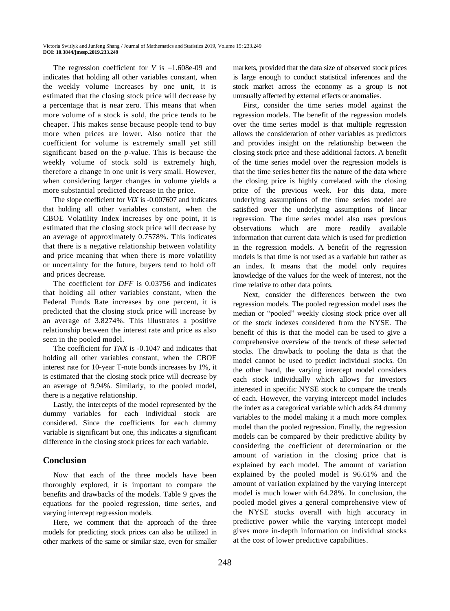The regression coefficient for  $V$  is  $-1.608e-09$  and indicates that holding all other variables constant, when the weekly volume increases by one unit, it is estimated that the closing stock price will decrease by a percentage that is near zero. This means that when more volume of a stock is sold, the price tends to be cheaper. This makes sense because people tend to buy more when prices are lower. Also notice that the coefficient for volume is extremely small yet still significant based on the *p*-value. This is because the weekly volume of stock sold is extremely high, therefore a change in one unit is very small. However, when considering larger changes in volume yields a more substantial predicted decrease in the price.

The slope coefficient for *VIX* is -0.007607 and indicates that holding all other variables constant, when the CBOE Volatility Index increases by one point, it is estimated that the closing stock price will decrease by an average of approximately 0.7578%. This indicates that there is a negative relationship between volatility and price meaning that when there is more volatility or uncertainty for the future, buyers tend to hold off and prices decrease.

The coefficient for *DFF* is 0.03756 and indicates that holding all other variables constant, when the Federal Funds Rate increases by one percent, it is predicted that the closing stock price will increase by an average of 3.8274%. This illustrates a positive relationship between the interest rate and price as also seen in the pooled model.

The coefficient for *TNX* is -0.1047 and indicates that holding all other variables constant, when the CBOE interest rate for 10-year T-note bonds increases by 1%, it is estimated that the closing stock price will decrease by an average of 9.94%. Similarly, to the pooled model, there is a negative relationship.

Lastly, the intercepts of the model represented by the dummy variables for each individual stock are considered. Since the coefficients for each dummy variable is significant but one, this indicates a significant difference in the closing stock prices for each variable.

# **Conclusion**

Now that each of the three models have been thoroughly explored, it is important to compare the benefits and drawbacks of the models. Table 9 gives the equations for the pooled regression, time series, and varying intercept regression models.

Here, we comment that the approach of the three models for predicting stock prices can also be utilized in other markets of the same or similar size, even for smaller markets, provided that the data size of observed stock prices is large enough to conduct statistical inferences and the stock market across the economy as a group is not unusually affected by external effects or anomalies.

First, consider the time series model against the regression models. The benefit of the regression models over the time series model is that multiple regression allows the consideration of other variables as predictors and provides insight on the relationship between the closing stock price and these additional factors. A benefit of the time series model over the regression models is that the time series better fits the nature of the data where the closing price is highly correlated with the closing price of the previous week. For this data, more underlying assumptions of the time series model are satisfied over the underlying assumptions of linear regression. The time series model also uses previous observations which are more readily available information that current data which is used for prediction in the regression models. A benefit of the regression models is that time is not used as a variable but rather as an index. It means that the model only requires knowledge of the values for the week of interest, not the time relative to other data points.

Next, consider the differences between the two regression models. The pooled regression model uses the median or "pooled" weekly closing stock price over all of the stock indexes considered from the NYSE. The benefit of this is that the model can be used to give a comprehensive overview of the trends of these selected stocks. The drawback to pooling the data is that the model cannot be used to predict individual stocks. On the other hand, the varying intercept model considers each stock individually which allows for investors interested in specific NYSE stock to compare the trends of each. However, the varying intercept model includes the index as a categorical variable which adds 84 dummy variables to the model making it a much more complex model than the pooled regression. Finally, the regression models can be compared by their predictive ability by considering the coefficient of determination or the amount of variation in the closing price that is explained by each model. The amount of variation explained by the pooled model is 96.61% and the amount of variation explained by the varying intercept model is much lower with 64.28%. In conclusion, the pooled model gives a general comprehensive view of the NYSE stocks overall with high accuracy in predictive power while the varying intercept model gives more in-depth information on individual stocks at the cost of lower predictive capabilities.